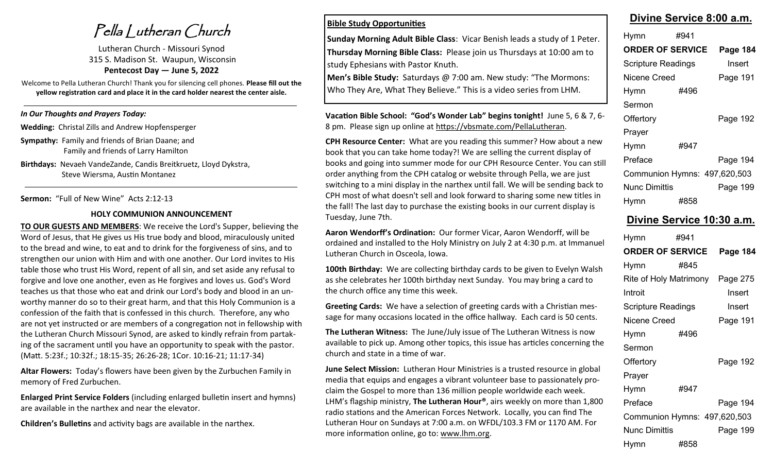Pella Lutheran Church

Lutheran Church - Missouri Synod 315 S. Madison St. Waupun, Wisconsin **Pentecost Day — June 5, 2022**

Welcome to Pella Lutheran Church! Thank you for silencing cell phones. **Please fill out the yellow registration card and place it in the card holder nearest the center aisle.** 

## *In Our Thoughts and Prayers Today:*

**Wedding:** Christal Zills and Andrew Hopfensperger

**Sympathy:** Family and friends of Brian Daane; and Family and friends of Larry Hamilton

**Birthdays:** Nevaeh VandeZande, Candis Breitkruetz, Lloyd Dykstra, Steve Wiersma, Austin Montanez

**Sermon:** "Full of New Wine" Acts 2:12-13

#### **HOLY COMMUNION ANNOUNCEMENT**

**TO OUR GUESTS AND MEMBERS**: We receive the Lord's Supper, believing the Word of Jesus, that He gives us His true body and blood, miraculously united to the bread and wine, to eat and to drink for the forgiveness of sins, and to strengthen our union with Him and with one another. Our Lord invites to His table those who trust His Word, repent of all sin, and set aside any refusal to forgive and love one another, even as He forgives and loves us. God's Word teaches us that those who eat and drink our Lord's body and blood in an unworthy manner do so to their great harm, and that this Holy Communion is a confession of the faith that is confessed in this church. Therefore, any who are not yet instructed or are members of a congregation not in fellowship with the Lutheran Church Missouri Synod, are asked to kindly refrain from partaking of the sacrament until you have an opportunity to speak with the pastor. (Matt. 5:23f.; 10:32f.; 18:15-35; 26:26-28; 1Cor. 10:16-21; 11:17-34)

**Altar Flowers:** Today's flowers have been given by the Zurbuchen Family in memory of Fred Zurbuchen.

**Enlarged Print Service Folders** (including enlarged bulletin insert and hymns) are available in the narthex and near the elevator.

**Children's Bulletins** and activity bags are available in the narthex.

## **Bible Study Opportunities**

**Sunday Morning Adult Bible Class**: Vicar Benish leads a study of 1 Peter. **Thursday Morning Bible Class:** Please join us Thursdays at 10:00 am to study Ephesians with Pastor Knuth.

**Men's Bible Study:** Saturdays @ 7:00 am. New study: "The Mormons: Who They Are, What They Believe." This is a video series from LHM.

**Vacation Bible School: "God's Wonder Lab" begins tonight!** June 5, 6 & 7, 6- 8 pm. Please sign up online at https://vbsmate.com/PellaLutheran.

**CPH Resource Center:** What are you reading this summer? How about a new book that you can take home today?! We are selling the current display of books and going into summer mode for our CPH Resource Center. You can still order anything from the CPH catalog or website through Pella, we are just switching to a mini display in the narthex until fall. We will be sending back to CPH most of what doesn't sell and look forward to sharing some new titles in the fall! The last day to purchase the existing books in our current display is Tuesday, June 7th.

**Aaron Wendorff's Ordination:** Our former Vicar, Aaron Wendorff, will be ordained and installed to the Holy Ministry on July 2 at 4:30 p.m. at Immanuel Lutheran Church in Osceola, Iowa.

**100th Birthday:** We are collecting birthday cards to be given to Evelyn Walsh as she celebrates her 100th birthday next Sunday. You may bring a card to the church office any time this week.

**Greeting Cards:** We have a selection of greeting cards with a Christian message for many occasions located in the office hallway. Each card is 50 cents.

**The Lutheran Witness:** The June/July issue of The Lutheran Witness is now available to pick up. Among other topics, this issue has articles concerning the church and state in a time of war.

**June Select Mission:** Lutheran Hour Ministries is a trusted resource in global media that equips and engages a vibrant volunteer base to passionately proclaim the Gospel to more than 136 million people worldwide each week. LHM's flagship ministry, **The Lutheran Hour®**, airs weekly on more than 1,800 radio stations and the American Forces Network. Locally, you can find The Lutheran Hour on Sundays at 7:00 a.m. on WFDL/103.3 FM or 1170 AM. For more information online, go to: www.lhm.org.

## **Divine Service 8:00 a.m.**

| Hymn                         | #941 |          |
|------------------------------|------|----------|
| <b>ORDER OF SERVICE</b>      |      | Page 184 |
| <b>Scripture Readings</b>    |      | Insert   |
| Nicene Creed                 |      | Page 191 |
| Hymn                         | #496 |          |
| Sermon                       |      |          |
| Offertory                    |      | Page 192 |
| Prayer                       |      |          |
| <b>Hymn</b>                  | #947 |          |
| Preface                      |      | Page 194 |
| Communion Hymns: 497,620,503 |      |          |
| <b>Nunc Dimittis</b>         |      | Page 199 |
| Hymn                         | #858 |          |

## **Divine Service 10:30 a.m.**

| Hymn                         | #941 |                 |
|------------------------------|------|-----------------|
| <b>ORDER OF SERVICE</b>      |      | <b>Page 184</b> |
| Hymn                         | #845 |                 |
| Rite of Holy Matrimony       |      | Page 275        |
| Introit                      |      | Insert          |
| Scripture Readings           |      | Insert          |
| Nicene Creed                 |      | Page 191        |
| Hymn                         | #496 |                 |
| Sermon                       |      |                 |
| Offertory                    |      | Page 192        |
| Prayer                       |      |                 |
| Hymn                         | #947 |                 |
| Preface                      |      | Page 194        |
| Communion Hymns: 497,620,503 |      |                 |
| <b>Nunc Dimittis</b>         |      | Page 199        |
| Hymn                         | #858 |                 |